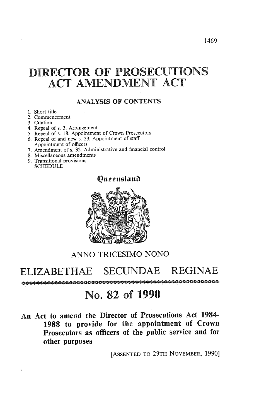# DIRECTOR OF **PROSECUTIONS ACT AMENDMENT ACT**

# ANAL**YSIS** OF CONTENTS

- **1. Short title**
- **2. Commencement**
- **3. Citation**
- **4. Repeal of s. 3. Arrangement**
- **5. Repeal of s. 18. Appointment of Crown Prosecutors**
- **6. Repeal of and new s. 23**. **Appointment of staff Appointment of officers**
- **7. Amendment** of s. 32. **Administrative and financial control**
- **8. Miscellaneous amendments**
- **9. Transitional provisions SCHEDULE**





# ANNO TRICESIMO NONO

# ELIZABETHAE SECUNDAE **R**EGINAE

# No. **8**2 of **1990**

An Act **to amend the** Director **of Prosecutions** Act 1984- **1988 to provide for the appointment** of Crown **Prosecutors as officers** of the **public service and for other purposes**

[ASSENTED TO 29TH NOVEMBER, 1990]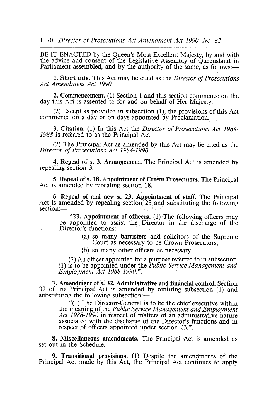BE IT ENACTED by the Queen's Most Excellent Majesty, by and with the advice and consent of the Legislative Assembly of Queensland in Parliament assembled, and by the authority of the same, as follows:-

1. Short title. This Act may be cited as the *Director of Prosecutions Act Amendment Act 1990.*

**2. Commencement**. (1) Section 1 and this section commence on the day this Act is assented to for and on behalf of Her Majesty.

(2) Except as provided in subsection (1), the provisions of this Act commence on a day or on days appointed by Proclamation.

**3. Citation**. (1) In this Act the *Director of Prosecutions Act 1984- 1988* is referred to as the Principal Act.

(2) The Principal Act as amended by this Act may be cited as the *Director of Prosecutions Act 1984-1990.*

**4. Repeal of s. 3. Arrangement**. The Principal Act is amended by repealing section 3.

**5. Repeal of s. 18. Appointment** of Crown Prosecutors. The Principal Act is amended by repealing section 18.

**6. Repeal of and new s. 23. Appointment of staff.** The Principal Act is amended by repealing section 23 and substituting the following section:-

**"23. Appointment of officers**. (1) The following officers may be appointed to assist the Director in the discharge of the Director's functions:-

> (a) so many barristers and solicitors of the Supreme Court as necessary to be Crown Prosecutors;

(b) so many other officers as necessary.

(2) An officer appointed for a purpose referred to in subsection (1) is to be appointed under the *Public Service Management and Employment Act 1988-1990.".*

7. Amendment of s. 32. **Administrative and financial control** . Section 32 of the Principal Act is amended by omitting subsection (1) and substituting the following subsection:-

"(1) The Director-General is to be the chief executive within the meaning of the *Public Service Management and Employment Act 1988-1990* in respect of matters of an administrative nature associated with the discharge of the Director's functions and in respect of officers appointed under section 23.".

**8. Miscellaneous amendments**. The Principal Act is amended as set out in the Schedule.

**9. Transitional provisions**. (1) Despite the amendments of the Principal Act made by this Act, the Principal Act continues to apply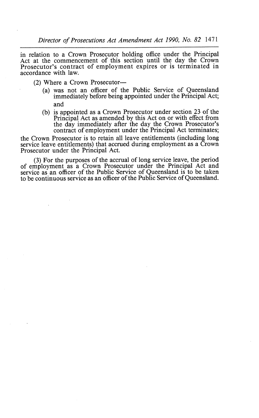in relation to a Crown Prosecutor holding office under the Principal Act at the commencement of this section until the day the Crown Prosecutor's contract of employment expires or is terminated in accordance with law.

- (2) Where a Crown Prosecutor-
	- (a) was not an officer of the Public Service of Queensland immediately before being appointed under the Principal Act; and
	- (b) is appointed as a Crown Prosecutor under section 23 of the Principal Act as amended by this Act on or with effect from the day immediately after the day the Crown Prosecutor's contract of employment under the Principal Act terminates;

the Crown Prosecutor is to retain all leave entitlements (including long service leave entitlements) that accrued during employment as a Crown Prosecutor under the Principal Act.

(3) For the purposes of the accrual of long service leave, the period of employment as a Crown Prosecutor under the Principal Act and service as an officer of the Public Service of Queensland is to be taken to be continuous service as an officer of the Public Service of Queensland.